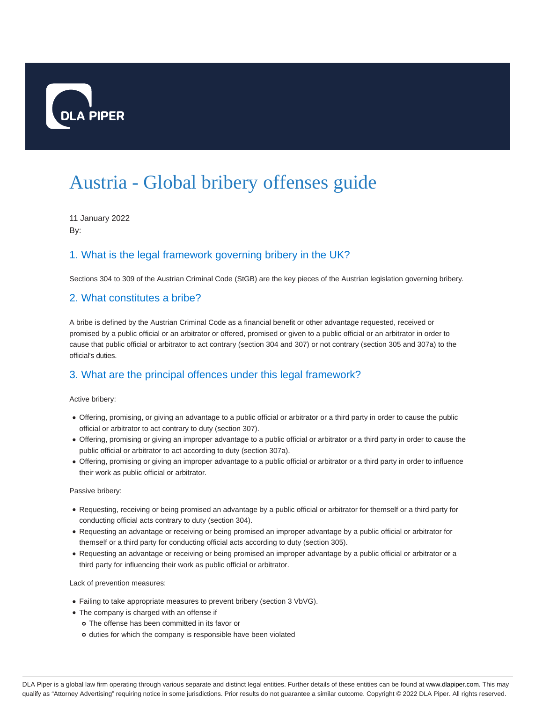

# Austria - Global bribery offenses guide

11 January 2022 By:

## 1. What is the legal framework governing bribery in the UK?

Sections 304 to 309 of the Austrian Criminal Code (StGB) are the key pieces of the Austrian legislation governing bribery.

#### 2. What constitutes a bribe?

A bribe is defined by the Austrian Criminal Code as a financial benefit or other advantage requested, received or promised by a public official or an arbitrator or offered, promised or given to a public official or an arbitrator in order to cause that public official or arbitrator to act contrary (section 304 and 307) or not contrary (section 305 and 307a) to the official's duties.

### 3. What are the principal offences under this legal framework?

Active bribery:

- Offering, promising, or giving an advantage to a public official or arbitrator or a third party in order to cause the public official or arbitrator to act contrary to duty (section 307).
- Offering, promising or giving an improper advantage to a public official or arbitrator or a third party in order to cause the public official or arbitrator to act according to duty (section 307a).
- Offering, promising or giving an improper advantage to a public official or arbitrator or a third party in order to influence their work as public official or arbitrator.

Passive bribery:

- Requesting, receiving or being promised an advantage by a public official or arbitrator for themself or a third party for conducting official acts contrary to duty (section 304).
- Requesting an advantage or receiving or being promised an improper advantage by a public official or arbitrator for themself or a third party for conducting official acts according to duty (section 305).
- Requesting an advantage or receiving or being promised an improper advantage by a public official or arbitrator or a third party for influencing their work as public official or arbitrator.

Lack of prevention measures:

- Failing to take appropriate measures to prevent bribery (section 3 VbVG).
- The company is charged with an offense if
	- The offense has been committed in its favor or
	- o duties for which the company is responsible have been violated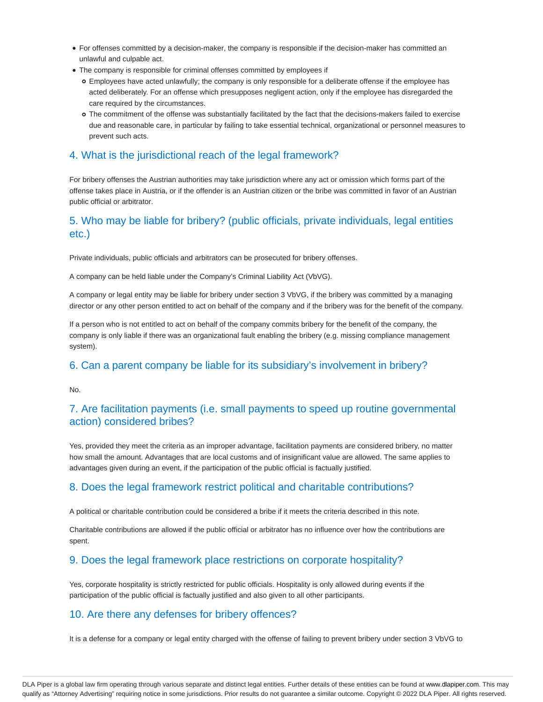- For offenses committed by a decision-maker, the company is responsible if the decision-maker has committed an unlawful and culpable act.
- The company is responsible for criminal offenses committed by employees if
	- Employees have acted unlawfully; the company is only responsible for a deliberate offense if the employee has acted deliberately. For an offense which presupposes negligent action, only if the employee has disregarded the care required by the circumstances.
	- The commitment of the offense was substantially facilitated by the fact that the decisions-makers failed to exercise due and reasonable care, in particular by failing to take essential technical, organizational or personnel measures to prevent such acts.

#### 4. What is the jurisdictional reach of the legal framework?

For bribery offenses the Austrian authorities may take jurisdiction where any act or omission which forms part of the offense takes place in Austria, or if the offender is an Austrian citizen or the bribe was committed in favor of an Austrian public official or arbitrator.

#### 5. Who may be liable for bribery? (public officials, private individuals, legal entities etc.)

Private individuals, public officials and arbitrators can be prosecuted for bribery offenses.

A company can be held liable under the Company's Criminal Liability Act (VbVG).

A company or legal entity may be liable for bribery under section 3 VbVG, if the bribery was committed by a managing director or any other person entitled to act on behalf of the company and if the bribery was for the benefit of the company.

If a person who is not entitled to act on behalf of the company commits bribery for the benefit of the company, the company is only liable if there was an organizational fault enabling the bribery (e.g. missing compliance management system).

#### 6. Can a parent company be liable for its subsidiary's involvement in bribery?

No.

#### 7. Are facilitation payments (i.e. small payments to speed up routine governmental action) considered bribes?

Yes, provided they meet the criteria as an improper advantage, facilitation payments are considered bribery, no matter how small the amount. Advantages that are local customs and of insignificant value are allowed. The same applies to advantages given during an event, if the participation of the public official is factually justified.

#### 8. Does the legal framework restrict political and charitable contributions?

A political or charitable contribution could be considered a bribe if it meets the criteria described in this note.

Charitable contributions are allowed if the public official or arbitrator has no influence over how the contributions are spent.

#### 9. Does the legal framework place restrictions on corporate hospitality?

Yes, corporate hospitality is strictly restricted for public officials. Hospitality is only allowed during events if the participation of the public official is factually justified and also given to all other participants.

#### 10. Are there any defenses for bribery offences?

It is a defense for a company or legal entity charged with the offense of failing to prevent bribery under section 3 VbVG to